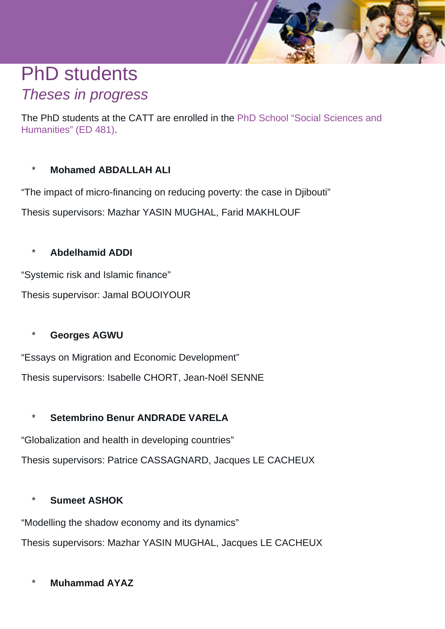# PhD students Theses in progress

The PhD students at the CATT are enrolled in the [PhD School "Social Sciences and](http://ed-ssh.univ-pau.fr/) [Humanities" \(ED 481\)](http://ed-ssh.univ-pau.fr/).

# **Mohamed ABDALLAH ALI**

"The impact of micro-financing on reducing poverty: the case in Djibouti"

Thesis supervisors: Mazhar YASIN MUGHAL, Farid MAKHLOUF

# \* **Abdelhamid ADDI**

"Systemic risk and Islamic finance"

Thesis supervisor: Jamal BOUOIYOUR

# **Georges AGWU**

"Essays on Migration and Economic Development" Thesis supervisors: Isabelle CHORT, Jean-Noël SENNE

# Setembrino Benur **ANDRADE VARELA**

"Globalization and health in developing countries"

Thesis supervisors: Patrice CASSAGNARD, Jacques LE CACHEUX

# **Sumeet ASHOK**

"Modelling the shadow economy and its dynamics"

Thesis supervisors: Mazhar YASIN MUGHAL, Jacques LE CACHEUX

\* **Muhammad AYAZ**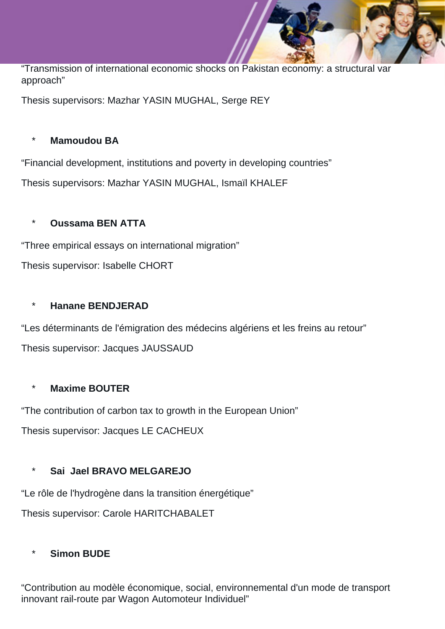"Transmission of international economic shocks on Pakistan economy: a structural var approach"

Thesis supervisors: Mazhar YASIN MUGHAL, Serge REY

# **Mamoudou BA**

"Financial development, institutions and poverty in developing countries"

Thesis supervisors: Mazhar YASIN MUGHAL, Ismaïl KHALEF

# \* **Oussama BEN ATTA**

"Three empirical essays on international migration"

Thesis supervisor: Isabelle CHORT

# **Hanane BENDJERAD**

"Les déterminants de l'émigration des médecins algériens et les freins au retour" Thesis supervisor: Jacques JAUSSAUD

# **Maxime BOUTER**

"The contribution of carbon tax to growth in the European Union"

Thesis supervisor: Jacques LE CACHEUX

# Sai Jael BRAVO MELGAREJO

"Le rôle de l'hydrogène dans la transition énergétique"

Thesis supervisor: Carole HARITCHABALET

# **Simon BUDE**

"Contribution au modèle économique, social, environnemental d'un mode de transport innovant rail-route par Wagon Automoteur Individuel"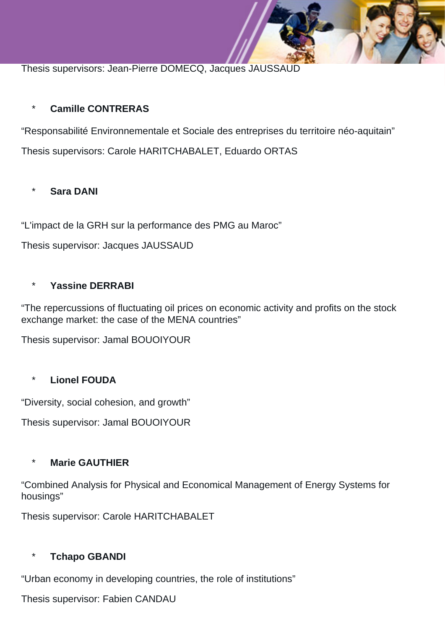Thesis supervisors: Jean-Pierre DOMECQ, Jacques JAUSSAUD

# \* **Camille CONTRERAS**

"Responsabilité Environnementale et Sociale des entreprises du territoire néo-aquitain"

Thesis supervisors: Carole HARITCHABALET, Eduardo ORTAS

# **Sara DANI**

"L'impact de la GRH sur la performance des PMG au Maroc"

Thesis supervisor: Jacques JAUSSAUD

#### Yassine **DERRABI**

"The repercussions of fluctuating oil prices on economic activity and profits on the stock exchange market: the case of the MENA countries"

Thesis supervisor: Jamal BOUOIYOUR

# **Lionel FOUDA**

"Diversity, social cohesion, and growth"

Thesis supervisor: Jamal BOUOIYOUR

#### **Marie GAUTHIER**

"Combined Analysis for Physical and Economical Management of Energy Systems for housings"

Thesis supervisor: Carole HARITCHABALET

# **Tchapo GBANDI**

"Urban economy in developing countries, the role of institutions"

Thesis supervisor: Fabien CANDAU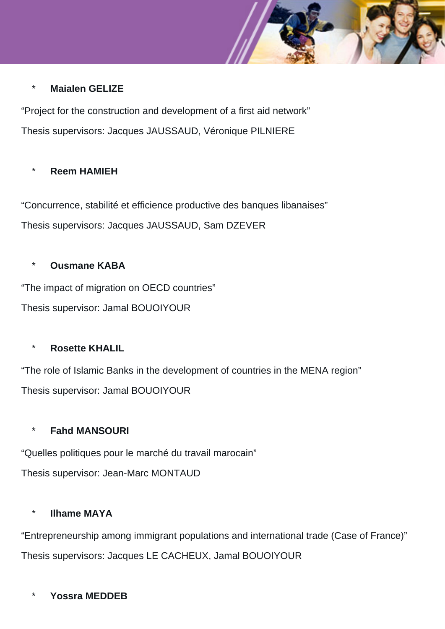#### **Maialen GELIZE**

"Project for the construction and development of a first aid network" Thesis supervisors: Jacques JAUSSAUD, Véronique PILNIERE

#### **Reem HAMIEH**

"Concurrence, stabilité et efficience productive des banques libanaises" Thesis supervisors: Jacques JAUSSAUD, Sam DZEVER

#### **Ousmane KABA**

"The impact of migration on OECD countries" Thesis supervisor: Jamal BOUOIYOUR

#### **Rosette KHALIL**

"The role of Islamic Banks in the development of countries in the MENA region" Thesis supervisor: Jamal BOUOIYOUR

# **Fahd MANSOURI**

"Quelles politiques pour le marché du travail marocain" Thesis supervisor: Jean-Marc MONTAUD

#### **Ilhame MAYA**

"Entrepreneurship among immigrant populations and international trade (Case of France)" Thesis supervisors: Jacques LE CACHEUX, Jamal BOUOIYOUR

# Yossra **MEDDEB**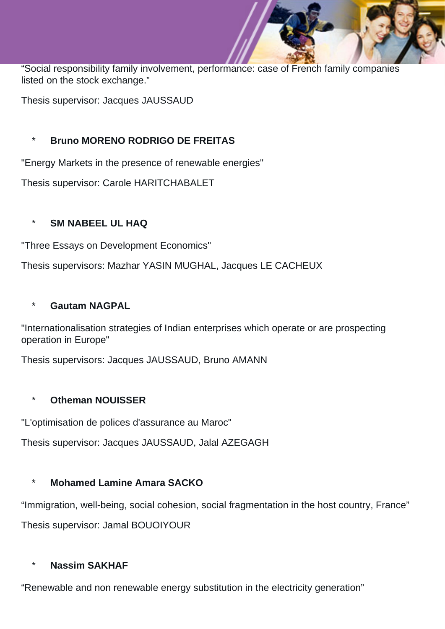"Social responsibility family involvement, performance: case of French family companies listed on the stock exchange."

Thesis supervisor: Jacques JAUSSAUD

# \* **Bruno MORENO RODRIGO DE FREITAS**

"Energy Markets in the presence of renewable energies"

Thesis supervisor: Carole HARITCHABALET

# **SM NABEEL UL HAQ**

"Three Essays on Development Economics"

Thesis supervisors: Mazhar YASIN MUGHAL, Jacques LE CACHEUX

# **Gautam NAGPAL**

"Internationalisation strategies of Indian enterprises which operate or are prospecting operation in Europe"

Thesis supervisors: Jacques JAUSSAUD, Bruno AMANN

# **Otheman NOUISSER**

"L'optimisation de polices d'assurance au Maroc"

Thesis supervisor: Jacques JAUSSAUD, Jalal AZEGAGH

# **Mohamed Lamine Amara SACKO**

"Immigration, well-being, social cohesion, social fragmentation in the host country, France" Thesis supervisor: Jamal BOUOIYOUR

# **Nassim SAKHAF**

"Renewable and non renewable energy substitution in the electricity generation"